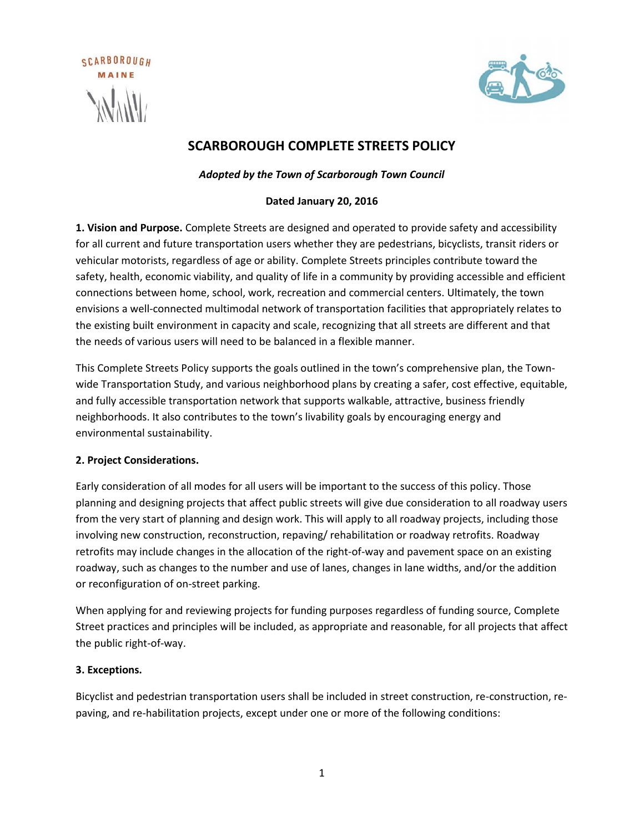



# **SCARBOROUGH COMPLETE STREETS POLICY**

*Adopted by the Town of Scarborough Town Council*

### **Dated January 20, 2016**

**1. Vision and Purpose.** Complete Streets are designed and operated to provide safety and accessibility for all current and future transportation users whether they are pedestrians, bicyclists, transit riders or vehicular motorists, regardless of age or ability. Complete Streets principles contribute toward the safety, health, economic viability, and quality of life in a community by providing accessible and efficient connections between home, school, work, recreation and commercial centers. Ultimately, the town envisions a well-connected multimodal network of transportation facilities that appropriately relates to the existing built environment in capacity and scale, recognizing that all streets are different and that the needs of various users will need to be balanced in a flexible manner.

This Complete Streets Policy supports the goals outlined in the town's comprehensive plan, the Townwide Transportation Study, and various neighborhood plans by creating a safer, cost effective, equitable, and fully accessible transportation network that supports walkable, attractive, business friendly neighborhoods. It also contributes to the town's livability goals by encouraging energy and environmental sustainability.

#### **2. Project Considerations.**

Early consideration of all modes for all users will be important to the success of this policy. Those planning and designing projects that affect public streets will give due consideration to all roadway users from the very start of planning and design work. This will apply to all roadway projects, including those involving new construction, reconstruction, repaving/ rehabilitation or roadway retrofits. Roadway retrofits may include changes in the allocation of the right-of-way and pavement space on an existing roadway, such as changes to the number and use of lanes, changes in lane widths, and/or the addition or reconfiguration of on-street parking.

When applying for and reviewing projects for funding purposes regardless of funding source, Complete Street practices and principles will be included, as appropriate and reasonable, for all projects that affect the public right-of-way.

## **3. Exceptions.**

Bicyclist and pedestrian transportation users shall be included in street construction, re-construction, repaving, and re-habilitation projects, except under one or more of the following conditions: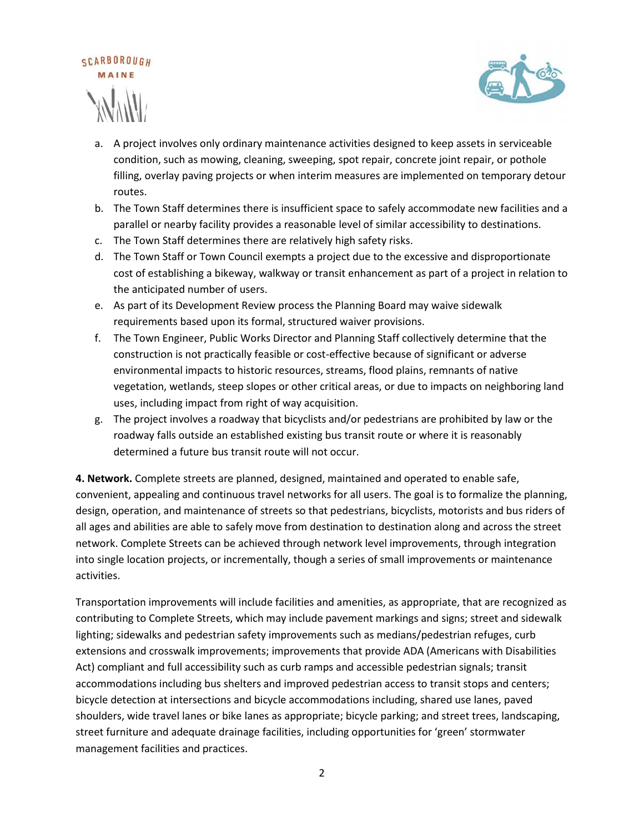



- a. A project involves only ordinary maintenance activities designed to keep assets in serviceable condition, such as mowing, cleaning, sweeping, spot repair, concrete joint repair, or pothole filling, overlay paving projects or when interim measures are implemented on temporary detour routes.
- b. The Town Staff determines there is insufficient space to safely accommodate new facilities and a parallel or nearby facility provides a reasonable level of similar accessibility to destinations.
- c. The Town Staff determines there are relatively high safety risks.
- d. The Town Staff or Town Council exempts a project due to the excessive and disproportionate cost of establishing a bikeway, walkway or transit enhancement as part of a project in relation to the anticipated number of users.
- e. As part of its Development Review process the Planning Board may waive sidewalk requirements based upon its formal, structured waiver provisions.
- f. The Town Engineer, Public Works Director and Planning Staff collectively determine that the construction is not practically feasible or cost-effective because of significant or adverse environmental impacts to historic resources, streams, flood plains, remnants of native vegetation, wetlands, steep slopes or other critical areas, or due to impacts on neighboring land uses, including impact from right of way acquisition.
- g. The project involves a roadway that bicyclists and/or pedestrians are prohibited by law or the roadway falls outside an established existing bus transit route or where it is reasonably determined a future bus transit route will not occur.

**4. Network.** Complete streets are planned, designed, maintained and operated to enable safe, convenient, appealing and continuous travel networks for all users. The goal is to formalize the planning, design, operation, and maintenance of streets so that pedestrians, bicyclists, motorists and bus riders of all ages and abilities are able to safely move from destination to destination along and across the street network. Complete Streets can be achieved through network level improvements, through integration into single location projects, or incrementally, though a series of small improvements or maintenance activities.

Transportation improvements will include facilities and amenities, as appropriate, that are recognized as contributing to Complete Streets, which may include pavement markings and signs; street and sidewalk lighting; sidewalks and pedestrian safety improvements such as medians/pedestrian refuges, curb extensions and crosswalk improvements; improvements that provide ADA (Americans with Disabilities Act) compliant and full accessibility such as curb ramps and accessible pedestrian signals; transit accommodations including bus shelters and improved pedestrian access to transit stops and centers; bicycle detection at intersections and bicycle accommodations including, shared use lanes, paved shoulders, wide travel lanes or bike lanes as appropriate; bicycle parking; and street trees, landscaping, street furniture and adequate drainage facilities, including opportunities for 'green' stormwater management facilities and practices.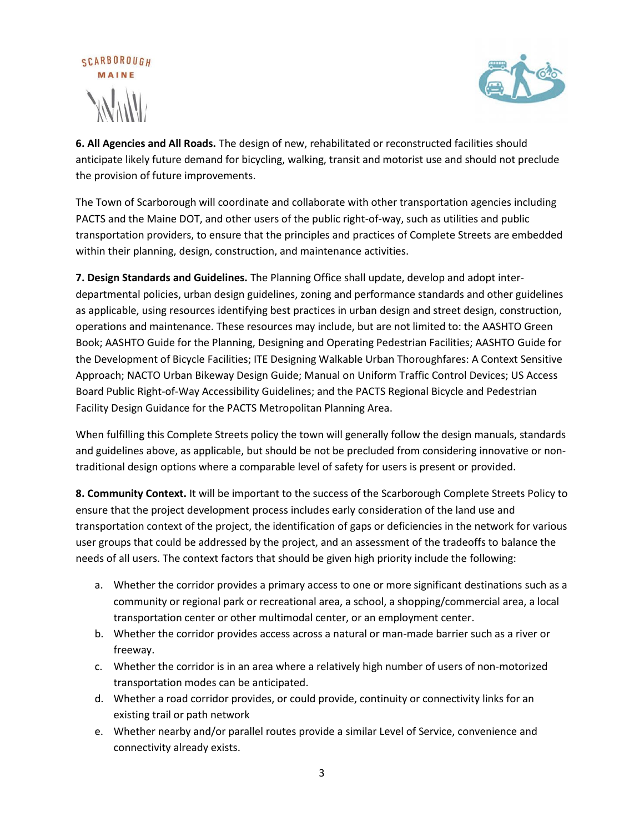



**6. All Agencies and All Roads.** The design of new, rehabilitated or reconstructed facilities should anticipate likely future demand for bicycling, walking, transit and motorist use and should not preclude the provision of future improvements.

The Town of Scarborough will coordinate and collaborate with other transportation agencies including PACTS and the Maine DOT, and other users of the public right-of-way, such as utilities and public transportation providers, to ensure that the principles and practices of Complete Streets are embedded within their planning, design, construction, and maintenance activities.

**7. Design Standards and Guidelines.** The Planning Office shall update, develop and adopt interdepartmental policies, urban design guidelines, zoning and performance standards and other guidelines as applicable, using resources identifying best practices in urban design and street design, construction, operations and maintenance. These resources may include, but are not limited to: the AASHTO Green Book; AASHTO Guide for the Planning, Designing and Operating Pedestrian Facilities; AASHTO Guide for the Development of Bicycle Facilities; ITE Designing Walkable Urban Thoroughfares: A Context Sensitive Approach; NACTO Urban Bikeway Design Guide; Manual on Uniform Traffic Control Devices; US Access Board Public Right-of-Way Accessibility Guidelines; and the PACTS Regional Bicycle and Pedestrian Facility Design Guidance for the PACTS Metropolitan Planning Area.

When fulfilling this Complete Streets policy the town will generally follow the design manuals, standards and guidelines above, as applicable, but should be not be precluded from considering innovative or nontraditional design options where a comparable level of safety for users is present or provided.

**8. Community Context.** It will be important to the success of the Scarborough Complete Streets Policy to ensure that the project development process includes early consideration of the land use and transportation context of the project, the identification of gaps or deficiencies in the network for various user groups that could be addressed by the project, and an assessment of the tradeoffs to balance the needs of all users. The context factors that should be given high priority include the following:

- a. Whether the corridor provides a primary access to one or more significant destinations such as a community or regional park or recreational area, a school, a shopping/commercial area, a local transportation center or other multimodal center, or an employment center.
- b. Whether the corridor provides access across a natural or man-made barrier such as a river or freeway.
- c. Whether the corridor is in an area where a relatively high number of users of non-motorized transportation modes can be anticipated.
- d. Whether a road corridor provides, or could provide, continuity or connectivity links for an existing trail or path network
- e. Whether nearby and/or parallel routes provide a similar Level of Service, convenience and connectivity already exists.